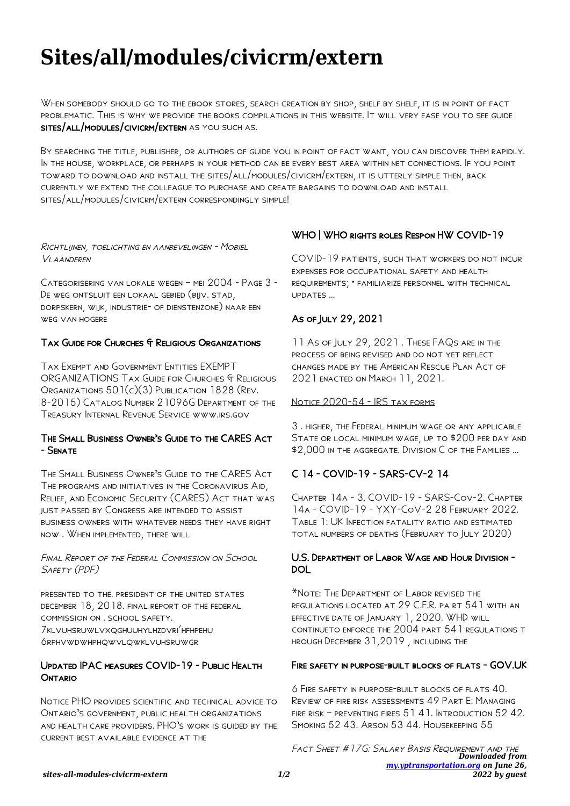# **Sites/all/modules/civicrm/extern**

WHEN SOMEBODY SHOULD GO TO THE EBOOK STORES, SEARCH CREATION BY SHOP, SHELF BY SHELF, IT IS IN POINT OF FACT problematic. This is why we provide the books compilations in this website. It will very ease you to see guide sites/all/modules/civicrm/extern as you such as.

By searching the title, publisher, or authors of guide you in point of fact want, you can discover them rapidly. In the house, workplace, or perhaps in your method can be every best area within net connections. If you point toward to download and install the sites/all/modules/civicrm/extern, it is utterly simple then, back currently we extend the colleague to purchase and create bargains to download and install sites/all/modules/civicrm/extern correspondingly simple!

#### Richtlijnen, toelichting en aanbevelingen - Mobiel Vlaanderen

Categorisering van lokale wegen – mei 2004 - Page 3 - De weg ontsluit een lokaal gebied (bijv. stad, dorpskern, wijk, industrie- of dienstenzone) naar een weg van hogere

## TAX GUIDE FOR CHURCHES & RELIGIOUS ORGANIZATIONS

Tax Exempt and Government Entities EXEMPT ORGANIZATIONS TAX GUIDE FOR CHURCHES & RELIGIOUS Organizations 501(c)(3) Publication 1828 (Rev. 8-2015) Catalog Number 21096G Department of the Treasury Internal Revenue Service www.irs.gov

### The Small Business Owner's Guide to the CARES Act - Senate

The Small Business Owner's Guide to the CARES Act The programs and initiatives in the Coronavirus Aid, Relief, and Economic Security (CARES) Act that was just passed by Congress are intended to assist business owners with whatever needs they have right now . When implemented, there will

Final Report of the Federal Commission on School SAFETY (PDF)

presented to the. president of the united states december 18, 2018. final report of the federal commission on . school safety. 7klvuhsruwlvxqghuuhylhzdvri'hfhpehu 6rphvwdwhphqwvlqwklvuhsruwgr

## Updated IPAC measures COVID-19 - Public Health **ONTARIO**

Notice PHO provides scientific and technical advice to Ontario's government, public health organizations and health care providers. PHO's work is guided by the current best available evidence at the

# WHO | WHO rights roles Respon HW COVID-19

COVID-19 patients, such that workers do not incur expenses for occupational safety and health requirements; • familiarize personnel with technical updates …

# As of July 29, 2021

11 As of JULY 29, 2021. THESE FAQS ARE IN THE process of being revised and do not yet reflect changes made by the American Rescue Plan Act of 2021 enacted on March 11, 2021.

#### NOTICE 2020-54 - IRS TAX FORMS

3 . higher, the Federal minimum wage or any applicable STATE OR LOCAL MINIMUM WAGE, UP TO \$200 PER DAY AND \$2,000 in the aggregate. Division C of the Families …

# C 14 - COVID-19 - SARS-CV-2 14

Chapter 14a - 3. COVID-19 - SARS-Cov-2. Chapter 14a - COVID-19 - YXY-CoV-2 28 February 2022. Table 1: UK Infection fatality ratio and estimated total numbers of deaths (February to July 2020)

## U.S. Department of Labor Wage and Hour Division - DOL

\*Note: The Department of Labor revised the regulations located at 29 C.F.R. pa rt 541 with an effective date of January 1, 2020. WHD will continueto enforce the 2004 part 541 regulations t hrough December 31,2019 , including the

#### FIRE SAFETY IN PURPOSE-BUILT BLOCKS OF FLATS - GOV.UK

6 Fire safety in purpose-built blocks of flats 40. Review of fire risk assessments 49 Part E: Managing fire risk – preventing fires 51 41. Introduction 52 42. SMOKING 52 43. ARSON 53 44. HOUSEKEEPING 55

*Downloaded from [my.yptransportation.org](https://my.yptransportation.org) on June 26, 2022 by guest* FACT SHEET #17G: SALARY BASIS REQUIREMENT AND THE